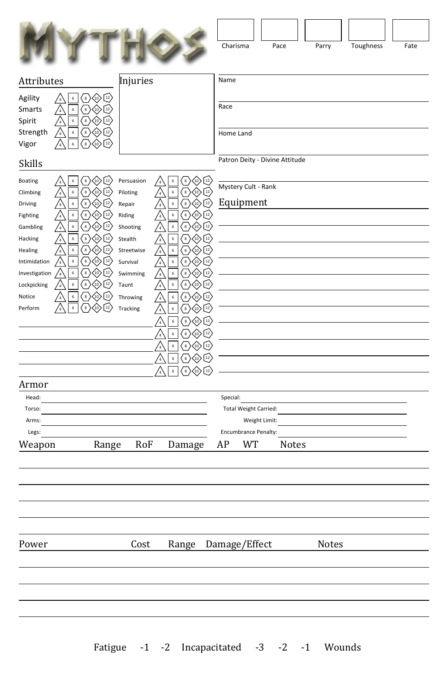|                         |                                                                                                              |                        |                                                    |                                                                                                                                         | Charisma  |                                       | Pace                           |              | Parry | Toughness | Fate |
|-------------------------|--------------------------------------------------------------------------------------------------------------|------------------------|----------------------------------------------------|-----------------------------------------------------------------------------------------------------------------------------------------|-----------|---------------------------------------|--------------------------------|--------------|-------|-----------|------|
| Attributes              |                                                                                                              | Injuries               |                                                    |                                                                                                                                         | Name      |                                       |                                |              |       |           |      |
| Agility                 | $\langle 10 \rangle$ $\left( 12 \right)$<br>$\mathbf 6$<br>$\langle \,$ s $\rangle$<br>$\frac{7}{4}$         |                        |                                                    |                                                                                                                                         |           |                                       |                                |              |       |           |      |
| Smarts                  | $\mathbf 6$<br>$\left(\begin{smallmatrix}8\end{smallmatrix}\right)$<br>$\frac{7}{4}$<br>$\left(10\right)$    |                        |                                                    |                                                                                                                                         | Race      |                                       |                                |              |       |           |      |
| Spirit                  | $\boldsymbol{6}$<br>$^{\circ}$ 8<br>$^{10}$<br>$\frac{7}{4}$<br>12<br>12)<br>$\mathsf{6}$                    |                        |                                                    |                                                                                                                                         |           |                                       |                                |              |       |           |      |
| Strength<br>Vigor       | $^{8}$<br>$\frac{7}{4}$<br>$_{(10)}$<br>$\boldsymbol{6}$<br>8 <sup>1</sup><br>(10)<br>12                     |                        |                                                    |                                                                                                                                         | Home Land |                                       |                                |              |       |           |      |
| Skills                  |                                                                                                              |                        |                                                    |                                                                                                                                         |           |                                       | Patron Deity - Divine Attitude |              |       |           |      |
|                         | $\sf 6$<br>8 <sup>2</sup>                                                                                    |                        |                                                    |                                                                                                                                         |           |                                       |                                |              |       |           |      |
| Boating<br>Climbing     | $\left\lfloor 12 \right\rceil$<br>$\langle 10 \rangle$<br>$\boldsymbol{6}$<br>$^{\circ}$ 8<br>$\frac{7}{4}$  | Persuasion<br>Piloting | $\mathbf 6$<br>$\frac{7}{4}$<br>6<br>$\frac{7}{4}$ | 8 <sup>1</sup><br>$\left\lfloor \frac{12}{2} \right\rfloor$<br>,10,<br>12)<br>$\bf8$                                                    |           | Mystery Cult - Rank                   |                                |              |       |           |      |
| Driving                 | $\mathbf 6$<br>$^8$<br>10 <sub>2</sub><br>12<br>$\frac{1}{4}$                                                | Repair                 | $\mathsf{6}$<br>$\frac{7}{4}$                      | $\left( \frac{1}{2} \right)$<br>$\bf8$<br>10 <sub>1</sub>                                                                               |           | Equipment                             |                                |              |       |           |      |
| Fighting                | $\sf 6$<br>$\bf8$<br>12<br>$\frac{7}{4}$<br>,10                                                              | Riding                 | $\mathsf{6}$<br>$\frac{7}{4}$                      | $\bf8$<br>$^{12}$<br>$\left(10\right)$                                                                                                  |           |                                       |                                |              |       |           |      |
| Gambling                | $\mathbf 6$<br>$^{\circ}$ 8<br>$12 \overline{ }$<br>$\frac{1}{4}$                                            | Shooting               | $\mathbf 6$<br>$\frac{7}{4}$                       | $\bf8$<br>$^{12}$<br>$\left( \frac{10}{2} \right)$                                                                                      |           |                                       |                                |              |       |           |      |
| Hacking                 | $\,$ 6 $\,$<br>[s]<br>12)<br>$\frac{1}{4}$<br>$_{(10)}$                                                      | Stealth                | 6<br>/ 4                                           | $^{\prime}$ 8<br>12<br>(10)                                                                                                             |           |                                       |                                |              |       |           |      |
| Healing<br>Intimidation | $\mathsf{6}$<br>8 <sup>1</sup><br>12<br>$\frac{1}{4}$<br>(10)<br>$^{\circ}$ 8<br>$\sf 6$<br>/4<br>(10)<br>12 | Streetwise<br>Survival | $\mathsf{6}$<br>/4<br>$\mathsf{6}$                 | 12)<br>$\sim$<br>(10)<br>$\mathbf{8}$<br>12<br>$\frac{10}{2}$                                                                           |           |                                       |                                |              |       |           |      |
| Investigation           | $\boldsymbol{6}$<br>$^{\circ}$ 8<br>(10)<br>$\frac{7}{4}$                                                    | Swimming               | /4<br>$\,$ 6 $\,$<br>$\sqrt{4}$                    | $\overline{\phantom{a}}$<br>$\left(10\right)$<br>12                                                                                     |           |                                       |                                |              |       |           |      |
| Lockpicking             | $\mathbf 6$<br>$^{8}$<br>(10)<br>12<br>$\frac{7}{4}$                                                         | Taunt                  | $\mathsf{6}$<br>$\frac{7}{4}$                      | $\mathbf{8}$<br>$^{12}$<br>$\langle 10 \rangle$                                                                                         |           |                                       |                                |              |       |           |      |
| Notice                  | $\boldsymbol{6}$<br>$\bf8$<br>(10)<br>12<br>'a                                                               | Throwing               | $\mathbf 6$<br>$\frac{7}{4}$                       | $\frac{12}{ }$<br>$\bf 8$<br>$\langle 10 \rangle$                                                                                       |           |                                       |                                |              |       |           |      |
| Perform                 | $\sf 6$<br>8<br>$12 \overline{ }$<br>(10)                                                                    | Tracking               | $\mathsf{6}$<br>$\frac{1}{4}$                      | $\bf8$<br>$^{12}$<br>$\left\langle \!\! \begin{array}{c} 10 \end{array} \!\!\! \right\rangle$                                           |           |                                       |                                |              |       |           |      |
|                         |                                                                                                              |                        | $\boldsymbol{6}$<br>$\frac{1}{4}$                  | $\frac{8}{ }$<br>$\langle \!\! \langle 0 \rangle \!\!$<br>$^{12}$                                                                       |           |                                       |                                |              |       |           |      |
|                         |                                                                                                              |                        | $\boldsymbol{6}$<br>$\frac{7}{4}$                  | $\left(\frac{1}{2}\right)$<br>$^{\rm 8}$<br>$\langle$ 10)                                                                               |           |                                       |                                |              |       |           |      |
|                         |                                                                                                              |                        | $\boldsymbol{6}$<br>$\frac{1}{4}$                  | $\left(\frac{12}{2}\right)$<br>$^8$<br>$\langle \scriptstyle{\text{i0}} \rangle$                                                        |           |                                       |                                |              |       |           |      |
|                         |                                                                                                              |                        | $\boldsymbol{6}$<br>$\frac{1}{4}$                  | $\left[\begin{smallmatrix} 12 \\ 12 \end{smallmatrix}\right]$<br>$\overline{\phantom{a}}^8$<br>$\langle \!\! \downarrow \!\! 0 \rangle$ |           |                                       |                                |              |       |           |      |
|                         |                                                                                                              |                        | $\boldsymbol{6}$<br>'4                             | $\left[12\right]$<br>$\overline{\phantom{a}}^8$<br>$\langle \!\! \downarrow \!\! \downarrow \!\! \rangle$                               |           |                                       |                                |              |       |           |      |
| Armor                   |                                                                                                              |                        |                                                    |                                                                                                                                         |           |                                       |                                |              |       |           |      |
| Head:                   |                                                                                                              |                        |                                                    |                                                                                                                                         | Special:  |                                       |                                |              |       |           |      |
| Torso:                  |                                                                                                              |                        |                                                    |                                                                                                                                         |           | Total Weight Carried:                 |                                |              |       |           |      |
| Arms:<br>Legs:          |                                                                                                              |                        |                                                    |                                                                                                                                         |           | Weight Limit:<br>Encumbrance Penalty: |                                |              |       |           |      |
| Weapon                  | Range                                                                                                        | RoF                    |                                                    | Damage                                                                                                                                  | AP        | WT                                    |                                | <b>Notes</b> |       |           |      |
|                         |                                                                                                              |                        |                                                    |                                                                                                                                         |           |                                       |                                |              |       |           |      |
|                         |                                                                                                              |                        |                                                    |                                                                                                                                         |           |                                       |                                |              |       |           |      |
|                         |                                                                                                              |                        |                                                    |                                                                                                                                         |           |                                       |                                |              |       |           |      |
|                         |                                                                                                              |                        |                                                    |                                                                                                                                         |           |                                       |                                |              |       |           |      |
|                         |                                                                                                              |                        |                                                    |                                                                                                                                         |           |                                       |                                |              |       |           |      |
|                         |                                                                                                              |                        |                                                    |                                                                                                                                         |           |                                       |                                |              |       |           |      |
| Power                   |                                                                                                              | $\mbox{Cost}$          |                                                    | Range Damage/Effect                                                                                                                     |           |                                       |                                |              | Notes |           |      |
|                         |                                                                                                              |                        |                                                    |                                                                                                                                         |           |                                       |                                |              |       |           |      |
|                         |                                                                                                              |                        |                                                    |                                                                                                                                         |           |                                       |                                |              |       |           |      |
|                         |                                                                                                              |                        |                                                    |                                                                                                                                         |           |                                       |                                |              |       |           |      |
|                         |                                                                                                              |                        |                                                    |                                                                                                                                         |           |                                       |                                |              |       |           |      |
|                         |                                                                                                              |                        |                                                    |                                                                                                                                         |           |                                       |                                |              |       |           |      |